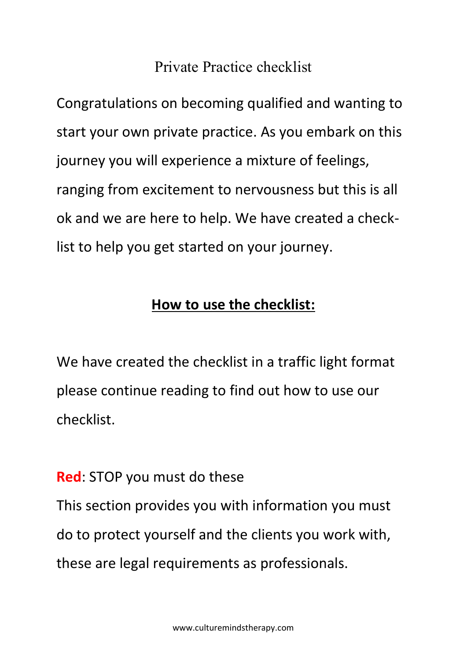## Private Practice checklist

Congratulations on becoming qualified and wanting to start your own private practice. As you embark on this journey you will experience a mixture of feelings, ranging from excitement to nervousness but this is all ok and we are here to help. We have created a checklist to help you get started on your journey.

## **How to use the checklist:**

We have created the checklist in a traffic light format please continue reading to find out how to use our checklist.

**Red**: STOP you must do these

This section provides you with information you must do to protect yourself and the clients you work with, these are legal requirements as professionals.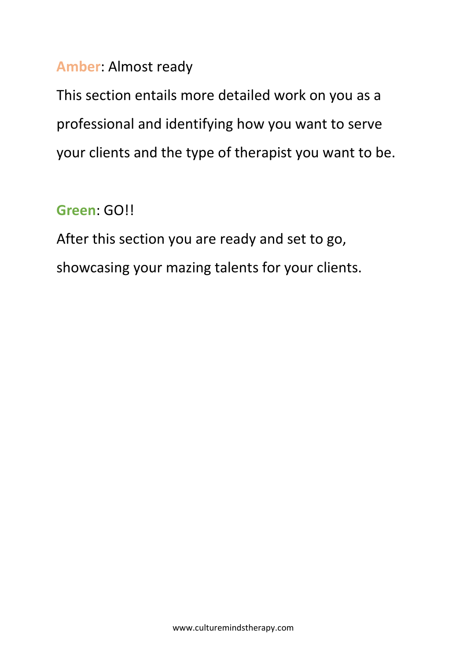## **Amber**: Almost ready

This section entails more detailed work on you as a professional and identifying how you want to serve your clients and the type of therapist you want to be.

# **Green**: GO!!

After this section you are ready and set to go, showcasing your mazing talents for your clients.